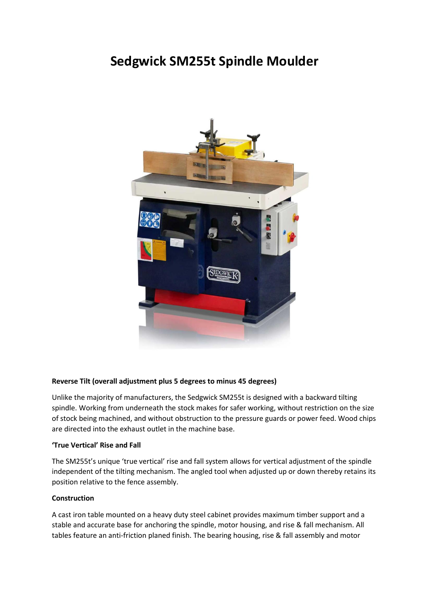# **Sedgwick SM255t Spindle Moulder**



## **Reverse Tilt (overall adjustment plus 5 degrees to minus 45 degrees)**

Unlike the majority of manufacturers, the Sedgwick SM255t is designed with a backward tilting spindle. Working from underneath the stock makes for safer working, without restriction on the size of stock being machined, and without obstruction to the pressure guards or power feed. Wood chips are directed into the exhaust outlet in the machine base.

### **'True Vertical' Rise and Fall**

The SM255t's unique 'true vertical' rise and fall system allows for vertical adjustment of the spindle independent of the tilting mechanism. The angled tool when adjusted up or down thereby retains its position relative to the fence assembly.

### **Construction**

A cast iron table mounted on a heavy duty steel cabinet provides maximum timber support and a stable and accurate base for anchoring the spindle, motor housing, and rise & fall mechanism. All tables feature an anti-friction planed finish. The bearing housing, rise & fall assembly and motor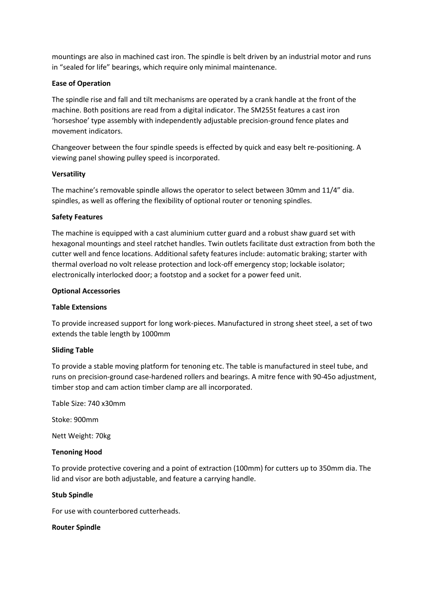mountings are also in machined cast iron. The spindle is belt driven by an industrial motor and runs in "sealed for life" bearings, which require only minimal maintenance.

## **Ease of Operation**

The spindle rise and fall and tilt mechanisms are operated by a crank handle at the front of the machine. Both positions are read from a digital indicator. The SM255t features a cast iron 'horseshoe' type assembly with independently adjustable precision-ground fence plates and movement indicators.

Changeover between the four spindle speeds is effected by quick and easy belt re-positioning. A viewing panel showing pulley speed is incorporated.

## **Versatility**

The machine's removable spindle allows the operator to select between 30mm and 11/4" dia. spindles, as well as offering the flexibility of optional router or tenoning spindles.

## **Safety Features**

The machine is equipped with a cast aluminium cutter guard and a robust shaw guard set with hexagonal mountings and steel ratchet handles. Twin outlets facilitate dust extraction from both the cutter well and fence locations. Additional safety features include: automatic braking; starter with thermal overload no volt release protection and lock-off emergency stop; lockable isolator; electronically interlocked door; a footstop and a socket for a power feed unit.

## **Optional Accessories**

## **Table Extensions**

To provide increased support for long work-pieces. Manufactured in strong sheet steel, a set of two extends the table length by 1000mm

## **Sliding Table**

To provide a stable moving platform for tenoning etc. The table is manufactured in steel tube, and runs on precision-ground case-hardened rollers and bearings. A mitre fence with 90-45o adjustment, timber stop and cam action timber clamp are all incorporated.

Table Size: 740 x30mm

Stoke: 900mm

Nett Weight: 70kg

### **Tenoning Hood**

To provide protective covering and a point of extraction (100mm) for cutters up to 350mm dia. The lid and visor are both adjustable, and feature a carrying handle.

### **Stub Spindle**

For use with counterbored cutterheads.

### **Router Spindle**